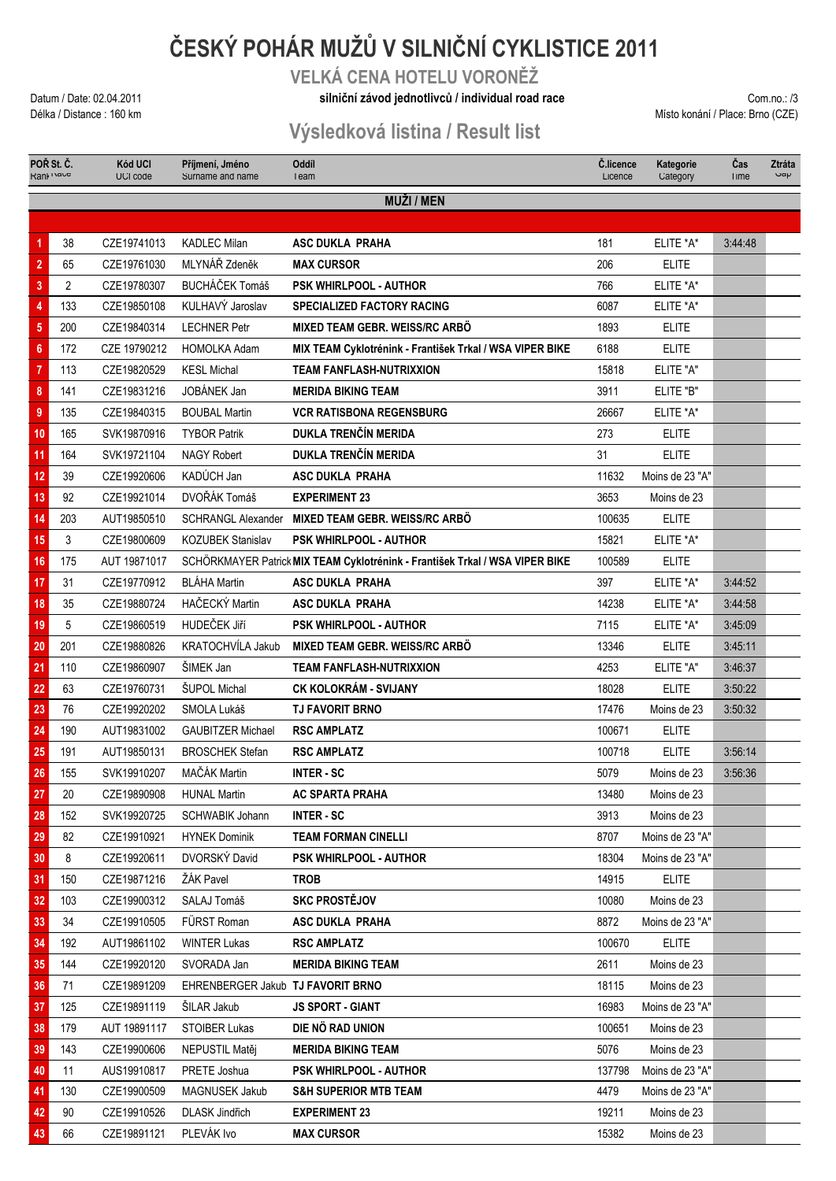# **ČESKÝ POHÁR MUŽŮ V SILNIČNÍ CYKLISTICE 2011**

**VELKÁ CENA HOTELU VORONĚŽ**

#### Datum / Date: 02.04.2011 **Com.no.: /3 Com.no.: /3 Silniční závod jednotlivců / individual road race <b>against individual road race by Com.no.: /3** Com.no.: /3

Délka / Distance : 160 km Místo konání / Place: Brno (CZE)

### **Výsledková listina / Result list**

| POR St. C.<br>Rani Ivaue |                | <b>Kód UCI</b><br>UCI code | Příjmení, Jméno<br>Surname and name | <b>Oddíl</b><br>leam                                                         | C.licence<br>Licence | Kategorie<br>Category | Cas<br>I Ime | <b>Ztráta</b><br>$\mathsf{v}$ ay |  |  |
|--------------------------|----------------|----------------------------|-------------------------------------|------------------------------------------------------------------------------|----------------------|-----------------------|--------------|----------------------------------|--|--|
| <b>MUŽI / MEN</b>        |                |                            |                                     |                                                                              |                      |                       |              |                                  |  |  |
|                          |                |                            |                                     |                                                                              |                      |                       |              |                                  |  |  |
| 1                        | 38             | CZE19741013                | <b>KADLEC Milan</b>                 | <b>ASC DUKLA PRAHA</b>                                                       | 181                  | ELITE *A*             | 3:44:48      |                                  |  |  |
| $\bf 2$                  | 65             | CZE19761030                | MLYNÁŘ Zdeněk                       | <b>MAX CURSOR</b>                                                            | 206                  | <b>ELITE</b>          |              |                                  |  |  |
| $\overline{\mathbf{3}}$  | $\overline{2}$ | CZE19780307                | BUCHÁČEK Tomáš                      | <b>PSK WHIRLPOOL - AUTHOR</b>                                                | 766                  | ELITE *A*             |              |                                  |  |  |
| 4                        | 133            | CZE19850108                | KULHAVÝ Jaroslav                    | <b>SPECIALIZED FACTORY RACING</b>                                            | 6087                 | ELITE *A*             |              |                                  |  |  |
| 5                        | 200            | CZE19840314                | <b>LECHNER Petr</b>                 | MIXED TEAM GEBR, WEISS/RC ARBÖ                                               | 1893                 | <b>ELITE</b>          |              |                                  |  |  |
| $6\phantom{a}$           | 172            | CZE 19790212               | <b>HOMOLKA Adam</b>                 | MIX TEAM Cyklotrénink - František Trkal / WSA VIPER BIKE                     | 6188                 | <b>ELITE</b>          |              |                                  |  |  |
| $\overline{7}$           | 113            | CZE19820529                | <b>KESL Michal</b>                  | <b>TEAM FANFLASH-NUTRIXXION</b>                                              | 15818                | ELITE "A"             |              |                                  |  |  |
| $\bf 8$                  | 141            | CZE19831216                | JOBÁNEK Jan                         | <b>MERIDA BIKING TEAM</b>                                                    | 3911                 | ELITE "B"             |              |                                  |  |  |
| 9                        | 135            | CZE19840315                | <b>BOUBAL Martin</b>                | <b>VCR RATISBONA REGENSBURG</b>                                              | 26667                | ELITE *A*             |              |                                  |  |  |
| 10                       | 165            | SVK19870916                | <b>TYBOR Patrik</b>                 | DUKLA TRENČÍN MERIDA                                                         | 273                  | <b>ELITE</b>          |              |                                  |  |  |
| 11                       | 164            | SVK19721104                | <b>NAGY Robert</b>                  | DUKLA TRENČÍN MERIDA                                                         | 31                   | <b>ELITE</b>          |              |                                  |  |  |
| 12                       | 39             | CZE19920606                | KADÚCH Jan                          | <b>ASC DUKLA PRAHA</b>                                                       | 11632                | Moins de 23 "A"       |              |                                  |  |  |
| 13                       | 92             | CZE19921014                | DVOŘÁK Tomáš                        | <b>EXPERIMENT 23</b>                                                         | 3653                 | Moins de 23           |              |                                  |  |  |
| 14                       | 203            | AUT19850510                | <b>SCHRANGL Alexander</b>           | MIXED TEAM GEBR, WEISS/RC ARBÖ                                               | 100635               | <b>ELITE</b>          |              |                                  |  |  |
| 15                       | 3              | CZE19800609                | <b>KOZUBEK Stanislav</b>            | <b>PSK WHIRLPOOL - AUTHOR</b>                                                | 15821                | ELITE *A*             |              |                                  |  |  |
| 16                       | 175            | AUT 19871017               |                                     | SCHÖRKMAYER Patrick MIX TEAM Cyklotrénink - František Trkal / WSA VIPER BIKE | 100589               | <b>ELITE</b>          |              |                                  |  |  |
| 17                       | 31             | CZE19770912                | <b>BLÁHA Martin</b>                 | <b>ASC DUKLA PRAHA</b>                                                       | 397                  | ELITE *A*             | 3:44:52      |                                  |  |  |
| 18                       | 35             | CZE19880724                | HAČECKÝ Martin                      | <b>ASC DUKLA PRAHA</b>                                                       | 14238                | ELITE *A*             | 3:44:58      |                                  |  |  |
| 19                       | 5              | CZE19860519                | HUDEČEK JIří                        | <b>PSK WHIRLPOOL - AUTHOR</b>                                                | 7115                 | ELITE *A*             | 3:45:09      |                                  |  |  |
| 20                       | 201            | CZE19880826                | KRATOCHVÍLA Jakub                   | MIXED TEAM GEBR. WEISS/RC ARBÖ                                               | 13346                | <b>ELITE</b>          | 3:45:11      |                                  |  |  |
| 21                       | 110            | CZE19860907                | ŠIMEK Jan                           | <b>TEAM FANFLASH-NUTRIXXION</b>                                              | 4253                 | ELITE "A"             | 3:46:37      |                                  |  |  |
| 22                       | 63             | CZE19760731                | ŠUPOL Michal                        | CK KOLOKRÁM - SVIJANY                                                        | 18028                | <b>ELITE</b>          | 3:50:22      |                                  |  |  |
| 23                       | 76             | CZE19920202                | SMOLA Lukáš                         | <b>TJ FAVORIT BRNO</b>                                                       | 17476                | Moins de 23           | 3:50:32      |                                  |  |  |
| 24                       | 190            | AUT19831002                | <b>GAUBITZER Michael</b>            | <b>RSC AMPLATZ</b>                                                           | 100671               | <b>ELITE</b>          |              |                                  |  |  |
| 25                       | 191            | AUT19850131                | <b>BROSCHEK Stefan</b>              | <b>RSC AMPLATZ</b>                                                           | 100718               | <b>ELITE</b>          | 3:56:14      |                                  |  |  |
| 26                       | 155            | SVK19910207                | MAČÁK Martin                        | <b>INTER-SC</b>                                                              | 5079                 | Moins de 23           | 3:56:36      |                                  |  |  |
| 27                       | 20             | CZE19890908                | <b>HUNAL Martin</b>                 | <b>AC SPARTA PRAHA</b>                                                       | 13480                | Moins de 23           |              |                                  |  |  |
| 28                       | 152            | SVK19920725                | <b>SCHWABIK Johann</b>              | <b>INTER-SC</b>                                                              | 3913                 | Moins de 23           |              |                                  |  |  |
| 29                       | 82             | CZE19910921                | <b>HYNEK Dominik</b>                | <b>TEAM FORMAN CINELLI</b>                                                   | 8707                 | Moins de 23 "A"       |              |                                  |  |  |
| 30                       | 8              | CZE19920611                | DVORSKÝ David                       | <b>PSK WHIRLPOOL - AUTHOR</b>                                                | 18304                | Moins de 23 "A"       |              |                                  |  |  |
| 31                       | 150            | CZE19871216                | ŽÁK Pavel                           | <b>TROB</b>                                                                  | 14915                | <b>ELITE</b>          |              |                                  |  |  |
| 32                       | 103            | CZE19900312                | SALAJ Tomáš                         | <b>SKC PROSTĚJOV</b>                                                         | 10080                | Moins de 23           |              |                                  |  |  |
| 33                       | 34             | CZE19910505                | FÜRST Roman                         | <b>ASC DUKLA PRAHA</b>                                                       | 8872                 | Moins de 23 "A"       |              |                                  |  |  |
| 34                       | 192            | AUT19861102                | <b>WINTER Lukas</b>                 | <b>RSC AMPLATZ</b>                                                           | 100670               | <b>ELITE</b>          |              |                                  |  |  |
| 35                       | 144            | CZE19920120                | SVORADA Jan                         | <b>MERIDA BIKING TEAM</b>                                                    | 2611                 | Moins de 23           |              |                                  |  |  |
| 36                       | 71             | CZE19891209                | EHRENBERGER Jakub TJ FAVORIT BRNO   |                                                                              | 18115                | Moins de 23           |              |                                  |  |  |
| 37                       | 125            | CZE19891119                | <b>SILAR Jakub</b>                  | <b>JS SPORT - GIANT</b>                                                      | 16983                | Moins de 23 "A"       |              |                                  |  |  |
| 38                       | 179            | AUT 19891117               | <b>STOIBER Lukas</b>                | DIE NÖ RAD UNION                                                             | 100651               | Moins de 23           |              |                                  |  |  |
| 39                       | 143            | CZE19900606                | NEPUSTIL Matěi                      | <b>MERIDA BIKING TEAM</b>                                                    | 5076                 | Moins de 23           |              |                                  |  |  |
| 40                       | 11             | AUS19910817                | PRETE Joshua                        | PSK WHIRLPOOL - AUTHOR                                                       | 137798               | Moins de 23 "A"       |              |                                  |  |  |
| 41                       | 130            | CZE19900509                | <b>MAGNUSEK Jakub</b>               | <b>S&amp;H SUPERIOR MTB TEAM</b>                                             | 4479                 | Moins de 23 "A"       |              |                                  |  |  |
| 42                       | 90             | CZE19910526                | <b>DLASK Jindřich</b>               | <b>EXPERIMENT 23</b>                                                         | 19211                | Moins de 23           |              |                                  |  |  |
| 43                       | 66             | CZE19891121                | PLEVÁK Ivo                          | <b>MAX CURSOR</b>                                                            | 15382                | Moins de 23           |              |                                  |  |  |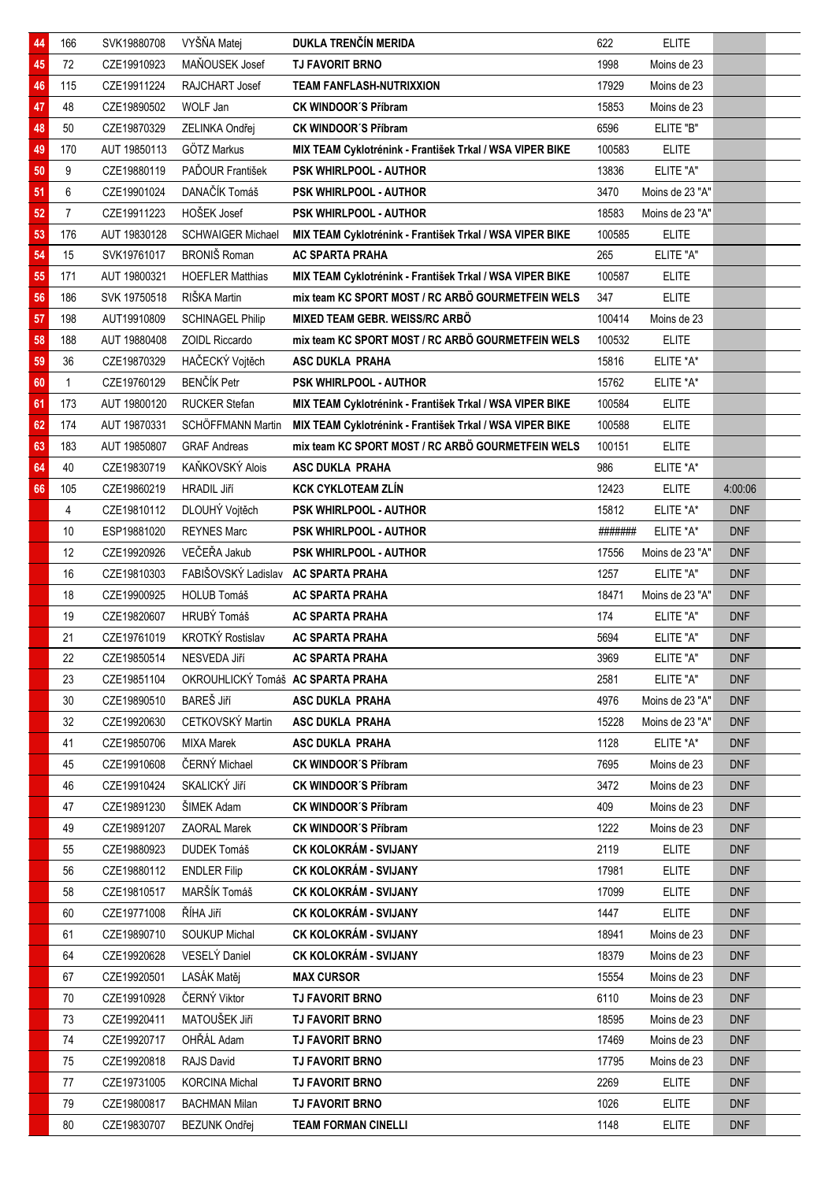| 44 | 166            | SVK19880708  | VYŠŇA Matej                         | DUKLA TRENČÍN MERIDA                                     | 622     | <b>ELITE</b>    |            |  |
|----|----------------|--------------|-------------------------------------|----------------------------------------------------------|---------|-----------------|------------|--|
| 45 | 72             | CZE19910923  | MAŇOUSEK Josef                      | <b>TJ FAVORIT BRNO</b>                                   | 1998    | Moins de 23     |            |  |
| 46 | 115            | CZE19911224  | RAJCHART Josef                      | <b>TEAM FANFLASH-NUTRIXXION</b>                          | 17929   | Moins de 23     |            |  |
| 47 | 48             | CZE19890502  | WOLF Jan                            | <b>CK WINDOOR'S Příbram</b>                              | 15853   | Moins de 23     |            |  |
| 48 | $50\,$         | CZE19870329  | ZELINKA Ondřej                      | <b>CK WINDOOR'S Příbram</b>                              | 6596    | ELITE "B"       |            |  |
| 49 | 170            | AUT 19850113 | GÖTZ Markus                         | MIX TEAM Cyklotrénink - František Trkal / WSA VIPER BIKE | 100583  | <b>ELITE</b>    |            |  |
| 50 | 9              | CZE19880119  | PAĎOUR František                    | <b>PSK WHIRLPOOL - AUTHOR</b>                            | 13836   | ELITE "A"       |            |  |
| 51 | 6              | CZE19901024  | DANAČÍK Tomáš                       | <b>PSK WHIRLPOOL - AUTHOR</b>                            | 3470    | Moins de 23 "A" |            |  |
| 52 | $\overline{7}$ | CZE19911223  | HOŠEK Josef                         | <b>PSK WHIRLPOOL - AUTHOR</b>                            | 18583   | Moins de 23 "A" |            |  |
| 53 | 176            | AUT 19830128 | <b>SCHWAIGER Michael</b>            | MIX TEAM Cyklotrénink - František Trkal / WSA VIPER BIKE | 100585  | <b>ELITE</b>    |            |  |
| 54 | 15             | SVK19761017  | <b>BRONIŠ Roman</b>                 | <b>AC SPARTA PRAHA</b>                                   | 265     | ELITE "A"       |            |  |
| 55 | 171            | AUT 19800321 | <b>HOEFLER Matthias</b>             | MIX TEAM Cyklotrénink - František Trkal / WSA VIPER BIKE | 100587  | <b>ELITE</b>    |            |  |
| 56 | 186            | SVK 19750518 | RIŠKA Martin                        | mix team KC SPORT MOST / RC ARBÖ GOURMETFEIN WELS        | 347     | <b>ELITE</b>    |            |  |
| 57 | 198            | AUT19910809  | <b>SCHINAGEL Philip</b>             | MIXED TEAM GEBR. WEISS/RC ARBÖ                           | 100414  | Moins de 23     |            |  |
| 58 | 188            | AUT 19880408 | ZOIDL Riccardo                      | mix team KC SPORT MOST / RC ARBÖ GOURMETFEIN WELS        | 100532  | <b>ELITE</b>    |            |  |
| 59 | 36             | CZE19870329  | HAČECKÝ Vojtěch                     | <b>ASC DUKLA PRAHA</b>                                   | 15816   | ELITE *A*       |            |  |
| 60 | $\mathbf{1}$   | CZE19760129  | <b>BENČÍK Petr</b>                  | PSK WHIRLPOOL - AUTHOR                                   | 15762   | ELITE *A*       |            |  |
| 61 | 173            | AUT 19800120 | <b>RUCKER Stefan</b>                | MIX TEAM Cyklotrénink - František Trkal / WSA VIPER BIKE | 100584  | <b>ELITE</b>    |            |  |
| 62 | 174            | AUT 19870331 | SCHÖFFMANN Martin                   | MIX TEAM Cyklotrénink - František Trkal / WSA VIPER BIKE | 100588  | <b>ELITE</b>    |            |  |
| 63 | 183            | AUT 19850807 | <b>GRAF Andreas</b>                 | mix team KC SPORT MOST / RC ARBÖ GOURMETFEIN WELS        | 100151  | <b>ELITE</b>    |            |  |
| 64 | 40             | CZE19830719  | KAŇKOVSKÝ Alois                     | ASC DUKLA PRAHA                                          | 986     | ELITE *A*       |            |  |
| 66 | 105            | CZE19860219  | <b>HRADIL Jiří</b>                  | <b>KCK CYKLOTEAM ZLÍN</b>                                | 12423   | <b>ELITE</b>    | 4:00:06    |  |
|    | 4              | CZE19810112  | DLOUHÝ Vojtěch                      | PSK WHIRLPOOL - AUTHOR                                   | 15812   | ELITE *A*       | <b>DNF</b> |  |
|    | 10             | ESP19881020  | <b>REYNES Marc</b>                  | <b>PSK WHIRLPOOL - AUTHOR</b>                            | ####### | ELITE *A*       | <b>DNF</b> |  |
|    | 12             | CZE19920926  | VEČEŘA Jakub                        | PSK WHIRLPOOL - AUTHOR                                   | 17556   | Moins de 23 "A" | <b>DNF</b> |  |
|    | 16             | CZE19810303  | FABIŠOVSKÝ Ladislav AC SPARTA PRAHA |                                                          | 1257    | ELITE "A"       | <b>DNF</b> |  |
|    | 18             | CZE19900925  | <b>HOLUB Tomáš</b>                  | <b>AC SPARTA PRAHA</b>                                   | 18471   | Moins de 23 "A" | <b>DNF</b> |  |
|    | 19             | CZE19820607  | HRUBÝ Tomáš                         | <b>AC SPARTA PRAHA</b>                                   | 174     | ELITE "A"       | <b>DNF</b> |  |
|    | 21             | CZE19761019  | KROTKÝ Rostislav                    | <b>AC SPARTA PRAHA</b>                                   | 5694    | ELITE "A"       | <b>DNF</b> |  |
|    | 22             | CZE19850514  | NESVEDA Jiří                        | AC SPARTA PRAHA                                          | 3969    | ELITE "A"       | <b>DNF</b> |  |
|    | 23             | CZE19851104  | OKROUHLICKÝ Tomáš AC SPARTA PRAHA   |                                                          | 2581    | ELITE "A"       | <b>DNF</b> |  |
|    | 30             | CZE19890510  | BAREŠ Jiří                          | <b>ASC DUKLA PRAHA</b>                                   | 4976    | Moins de 23 "A" | <b>DNF</b> |  |
|    | 32             | CZE19920630  | CETKOVSKÝ Martin                    | ASC DUKLA PRAHA                                          | 15228   | Moins de 23 "A" | <b>DNF</b> |  |
|    | 41             | CZE19850706  | <b>MIXA Marek</b>                   | <b>ASC DUKLA PRAHA</b>                                   | 1128    | ELITE *A*       | <b>DNF</b> |  |
|    | 45             | CZE19910608  | ČERNÝ Michael                       | <b>CK WINDOOR'S Příbram</b>                              | 7695    | Moins de 23     | <b>DNF</b> |  |
|    | 46             | CZE19910424  | SKALICKÝ Jiří                       | <b>CK WINDOOR'S Příbram</b>                              | 3472    | Moins de 23     | <b>DNF</b> |  |
|    | 47             | CZE19891230  | ŠIMEK Adam                          | <b>CK WINDOOR'S Příbram</b>                              | 409     | Moins de 23     | <b>DNF</b> |  |
|    | 49             | CZE19891207  | <b>ZAORAL Marek</b>                 | <b>CK WINDOOR'S Příbram</b>                              | 1222    | Moins de 23     | <b>DNF</b> |  |
|    | 55             | CZE19880923  | DUDEK Tomáš                         | <b>CK KOLOKRÁM - SVIJANY</b>                             | 2119    | <b>ELITE</b>    | <b>DNF</b> |  |
|    | 56             | CZE19880112  | <b>ENDLER Filip</b>                 | <b>CK KOLOKRÁM - SVIJANY</b>                             | 17981   | <b>ELITE</b>    | <b>DNF</b> |  |
|    | 58             | CZE19810517  | MARŠÍK Tomáš                        | CK KOLOKRÁM - SVIJANY                                    | 17099   | <b>ELITE</b>    | <b>DNF</b> |  |
|    | 60             | CZE19771008  | ŘÍHA Jiří                           | CK KOLOKRÁM - SVIJANY                                    | 1447    | <b>ELITE</b>    | <b>DNF</b> |  |
|    | 61             | CZE19890710  | SOUKUP Michal                       | <b>CK KOLOKRÁM - SVIJANY</b>                             | 18941   | Moins de 23     | <b>DNF</b> |  |
|    | 64             | CZE19920628  | VESELÝ Daniel                       | CK KOLOKRÁM - SVIJANY                                    | 18379   | Moins de 23     | <b>DNF</b> |  |
|    | 67             | CZE19920501  | LASÁK Matěj                         | <b>MAX CURSOR</b>                                        | 15554   | Moins de 23     | <b>DNF</b> |  |
|    | 70             | CZE19910928  | ČERNÝ Viktor                        | <b>TJ FAVORIT BRNO</b>                                   | 6110    | Moins de 23     | <b>DNF</b> |  |
|    | 73             | CZE19920411  | MATOUŠEK Jiří                       | <b>TJ FAVORIT BRNO</b>                                   | 18595   | Moins de 23     | DNF        |  |
|    | 74             | CZE19920717  | OHŘÁL Adam                          | <b>TJ FAVORIT BRNO</b>                                   | 17469   | Moins de 23     | <b>DNF</b> |  |
|    | 75             | CZE19920818  | RAJS David                          | <b>TJ FAVORIT BRNO</b>                                   | 17795   | Moins de 23     | <b>DNF</b> |  |
|    | 77             | CZE19731005  | <b>KORCINA Michal</b>               | <b>TJ FAVORIT BRNO</b>                                   | 2269    | <b>ELITE</b>    | <b>DNF</b> |  |
|    | 79             | CZE19800817  | <b>BACHMAN Milan</b>                | <b>TJ FAVORIT BRNO</b>                                   | 1026    | <b>ELITE</b>    | <b>DNF</b> |  |
|    | 80             | CZE19830707  | <b>BEZUNK Ondřej</b>                | <b>TEAM FORMAN CINELLI</b>                               | 1148    | <b>ELITE</b>    | <b>DNF</b> |  |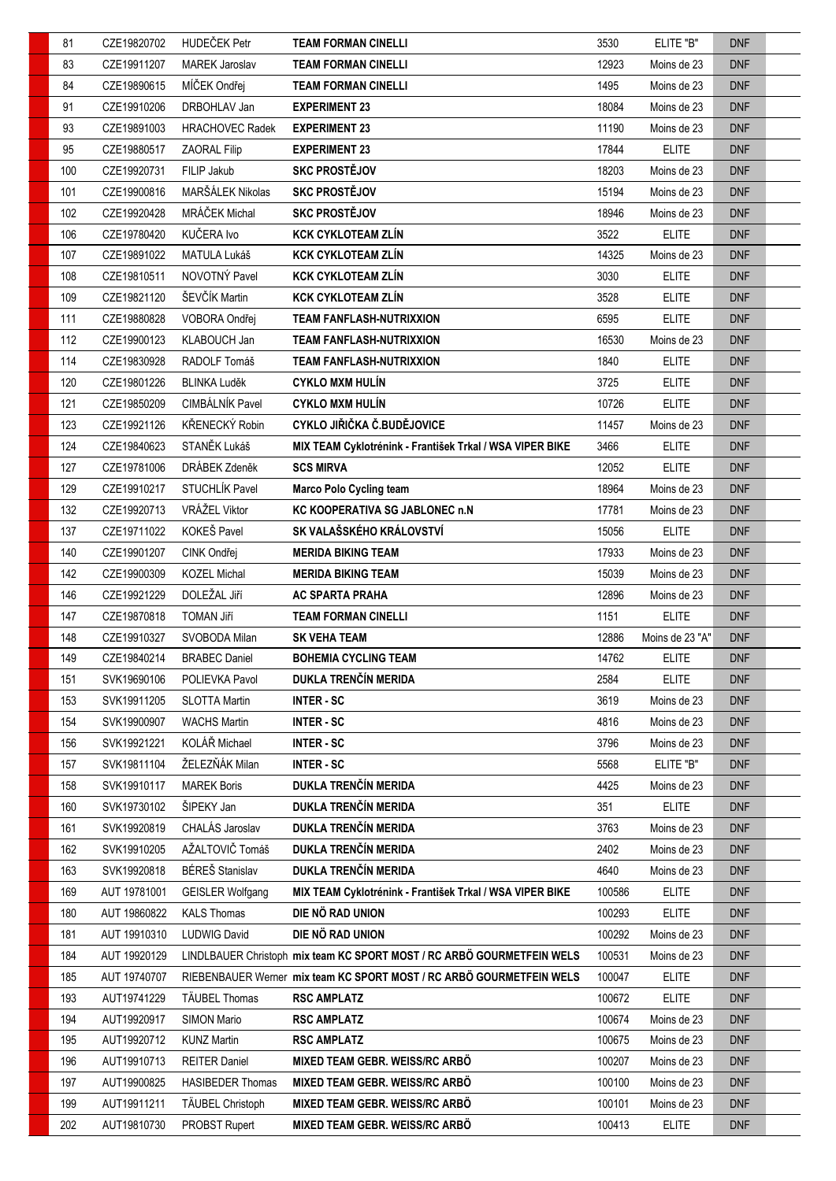| 81  | CZE19820702  | HUDEČEK Petr            | <b>TEAM FORMAN CINELLI</b>                                             | 3530   | ELITE "B"       | <b>DNF</b> |
|-----|--------------|-------------------------|------------------------------------------------------------------------|--------|-----------------|------------|
| 83  | CZE19911207  | <b>MAREK Jaroslav</b>   | <b>TEAM FORMAN CINELLI</b>                                             | 12923  | Moins de 23     | <b>DNF</b> |
| 84  | CZE19890615  | MÍČEK Ondřej            | <b>TEAM FORMAN CINELLI</b>                                             | 1495   | Moins de 23     | <b>DNF</b> |
| 91  | CZE19910206  | DRBOHLAV Jan            | <b>EXPERIMENT 23</b>                                                   | 18084  | Moins de 23     | <b>DNF</b> |
| 93  | CZE19891003  | <b>HRACHOVEC Radek</b>  | <b>EXPERIMENT 23</b>                                                   | 11190  | Moins de 23     | <b>DNF</b> |
| 95  | CZE19880517  | <b>ZAORAL Filip</b>     | <b>EXPERIMENT 23</b>                                                   | 17844  | <b>ELITE</b>    | <b>DNF</b> |
| 100 | CZE19920731  | FILIP Jakub             | <b>SKC PROSTĚJOV</b>                                                   | 18203  | Moins de 23     | <b>DNF</b> |
| 101 | CZE19900816  | MARŠÁLEK Nikolas        | <b>SKC PROSTĚJOV</b>                                                   | 15194  | Moins de 23     | <b>DNF</b> |
| 102 | CZE19920428  | MRÁČEK Michal           | <b>SKC PROSTĚJOV</b>                                                   | 18946  | Moins de 23     | <b>DNF</b> |
| 106 | CZE19780420  | KUČERA Ivo              | <b>KCK CYKLOTEAM ZLÍN</b>                                              | 3522   | <b>ELITE</b>    | <b>DNF</b> |
| 107 | CZE19891022  | MATULA Lukáš            | <b>KCK CYKLOTEAM ZLÍN</b>                                              | 14325  | Moins de 23     | <b>DNF</b> |
| 108 | CZE19810511  | NOVOTNÝ Pavel           | <b>KCK CYKLOTEAM ZLÍN</b>                                              | 3030   | <b>ELITE</b>    | <b>DNF</b> |
| 109 | CZE19821120  | ŠEVČÍK Martin           | <b>KCK CYKLOTEAM ZLÍN</b>                                              | 3528   | <b>ELITE</b>    | <b>DNF</b> |
| 111 | CZE19880828  | VOBORA Ondřej           | <b>TEAM FANFLASH-NUTRIXXION</b>                                        | 6595   | <b>ELITE</b>    | <b>DNF</b> |
| 112 | CZE19900123  | KLABOUCH Jan            | <b>TEAM FANFLASH-NUTRIXXION</b>                                        | 16530  | Moins de 23     | <b>DNF</b> |
| 114 | CZE19830928  | RADOLF Tomáš            | <b>TEAM FANFLASH-NUTRIXXION</b>                                        | 1840   | <b>ELITE</b>    | <b>DNF</b> |
| 120 | CZE19801226  | <b>BLINKA Luděk</b>     | <b>CYKLO MXM HULÍN</b>                                                 | 3725   | <b>ELITE</b>    | <b>DNF</b> |
| 121 | CZE19850209  | CIMBÁLNÍK Pavel         | <b>CYKLO MXM HULÍN</b>                                                 | 10726  | <b>ELITE</b>    | <b>DNF</b> |
| 123 | CZE19921126  | KŘENECKÝ Robin          | CYKLO JIŘIČKA Č.BUDĚJOVICE                                             | 11457  | Moins de 23     | <b>DNF</b> |
| 124 | CZE19840623  | STANĚK Lukáš            | MIX TEAM Cyklotrénink - František Trkal / WSA VIPER BIKE               | 3466   | <b>ELITE</b>    | <b>DNF</b> |
| 127 | CZE19781006  | DRÁBEK Zdeněk           | <b>SCS MIRVA</b>                                                       | 12052  | <b>ELITE</b>    | <b>DNF</b> |
| 129 | CZE19910217  | STUCHLÍK Pavel          | <b>Marco Polo Cycling team</b>                                         | 18964  | Moins de 23     | <b>DNF</b> |
| 132 | CZE19920713  | VRÁŽEL Viktor           | <b>KC KOOPERATIVA SG JABLONEC n.N</b>                                  | 17781  | Moins de 23     | <b>DNF</b> |
| 137 | CZE19711022  | KOKEŠ Pavel             | SK VALAŠSKÉHO KRÁLOVSTVÍ                                               | 15056  | <b>ELITE</b>    | <b>DNF</b> |
| 140 | CZE19901207  | CINK Ondřej             | <b>MERIDA BIKING TEAM</b>                                              | 17933  | Moins de 23     | <b>DNF</b> |
| 142 | CZE19900309  | <b>KOZEL Michal</b>     | <b>MERIDA BIKING TEAM</b>                                              | 15039  | Moins de 23     | <b>DNF</b> |
| 146 | CZE19921229  | DOLEŽAL Jiří            | <b>AC SPARTA PRAHA</b>                                                 | 12896  | Moins de 23     | <b>DNF</b> |
| 147 | CZE19870818  | TOMAN Jiří              | <b>TEAM FORMAN CINELLI</b>                                             | 1151   | <b>ELITE</b>    | <b>DNF</b> |
| 148 | CZE19910327  | SVOBODA Milan           | <b>SK VEHA TEAM</b>                                                    | 12886  | Moins de 23 "A" | <b>DNF</b> |
| 149 | CZE19840214  | <b>BRABEC Daniel</b>    | <b>BOHEMIA CYCLING TEAM</b>                                            | 14762  | <b>ELITE</b>    | <b>DNF</b> |
| 151 | SVK19690106  | POLIEVKA Pavol          | DUKLA TRENČÍN MERIDA                                                   | 2584   | <b>ELITE</b>    | <b>DNF</b> |
| 153 | SVK19911205  | <b>SLOTTA Martin</b>    | <b>INTER-SC</b>                                                        | 3619   | Moins de 23     | <b>DNF</b> |
| 154 | SVK19900907  | <b>WACHS Martin</b>     | <b>INTER-SC</b>                                                        | 4816   | Moins de 23     | <b>DNF</b> |
| 156 | SVK19921221  | KOLÁŘ Michael           | <b>INTER-SC</b>                                                        | 3796   | Moins de 23     | <b>DNF</b> |
| 157 | SVK19811104  | ŽELEZŇÁK Milan          | <b>INTER-SC</b>                                                        | 5568   | ELITE "B"       | <b>DNF</b> |
| 158 | SVK19910117  | <b>MAREK Boris</b>      | DUKLA TRENČÍN MERIDA                                                   | 4425   | Moins de 23     | <b>DNF</b> |
| 160 | SVK19730102  | ŠIPEKY Jan              | DUKLA TRENČÍN MERIDA                                                   | 351    | <b>ELITE</b>    | <b>DNF</b> |
| 161 | SVK19920819  | CHALÁS Jaroslav         | DUKLA TRENČÍN MERIDA                                                   | 3763   | Moins de 23     | <b>DNF</b> |
| 162 | SVK19910205  | AŽALTOVIČ Tomáš         | DUKLA TRENČÍN MERIDA                                                   | 2402   | Moins de 23     | <b>DNF</b> |
| 163 | SVK19920818  | BÉREŠ Stanislav         | DUKLA TRENČÍN MERIDA                                                   | 4640   | Moins de 23     | <b>DNF</b> |
| 169 | AUT 19781001 | <b>GEISLER Wolfgang</b> | MIX TEAM Cyklotrénink - František Trkal / WSA VIPER BIKE               | 100586 | <b>ELITE</b>    | <b>DNF</b> |
| 180 | AUT 19860822 | <b>KALS Thomas</b>      | DIE NÖ RAD UNION                                                       | 100293 | <b>ELITE</b>    | <b>DNF</b> |
| 181 | AUT 19910310 | <b>LUDWIG David</b>     | DIE NÖ RAD UNION                                                       | 100292 | Moins de 23     | <b>DNF</b> |
| 184 | AUT 19920129 |                         | LINDLBAUER Christoph mix team KC SPORT MOST / RC ARBÖ GOURMETFEIN WELS | 100531 | Moins de 23     | <b>DNF</b> |
| 185 | AUT 19740707 |                         | RIEBENBAUER Werner mix team KC SPORT MOST / RC ARBÖ GOURMETFEIN WELS   | 100047 | <b>ELITE</b>    | <b>DNF</b> |
| 193 | AUT19741229  | TÄUBEL Thomas           | <b>RSC AMPLATZ</b>                                                     | 100672 | <b>ELITE</b>    | <b>DNF</b> |
| 194 | AUT19920917  | SIMON Mario             | <b>RSC AMPLATZ</b>                                                     | 100674 | Moins de 23     | <b>DNF</b> |
| 195 | AUT19920712  | <b>KUNZ Martin</b>      | <b>RSC AMPLATZ</b>                                                     | 100675 | Moins de 23     | <b>DNF</b> |
| 196 | AUT19910713  | <b>REITER Daniel</b>    | MIXED TEAM GEBR. WEISS/RC ARBÖ                                         | 100207 | Moins de 23     | <b>DNF</b> |
| 197 | AUT19900825  | <b>HASIBEDER Thomas</b> | MIXED TEAM GEBR. WEISS/RC ARBÖ                                         | 100100 | Moins de 23     | <b>DNF</b> |
| 199 | AUT19911211  | TÄUBEL Christoph        | MIXED TEAM GEBR. WEISS/RC ARBÖ                                         | 100101 | Moins de 23     | <b>DNF</b> |
| 202 | AUT19810730  | PROBST Rupert           | MIXED TEAM GEBR. WEISS/RC ARBÖ                                         | 100413 | <b>ELITE</b>    | <b>DNF</b> |